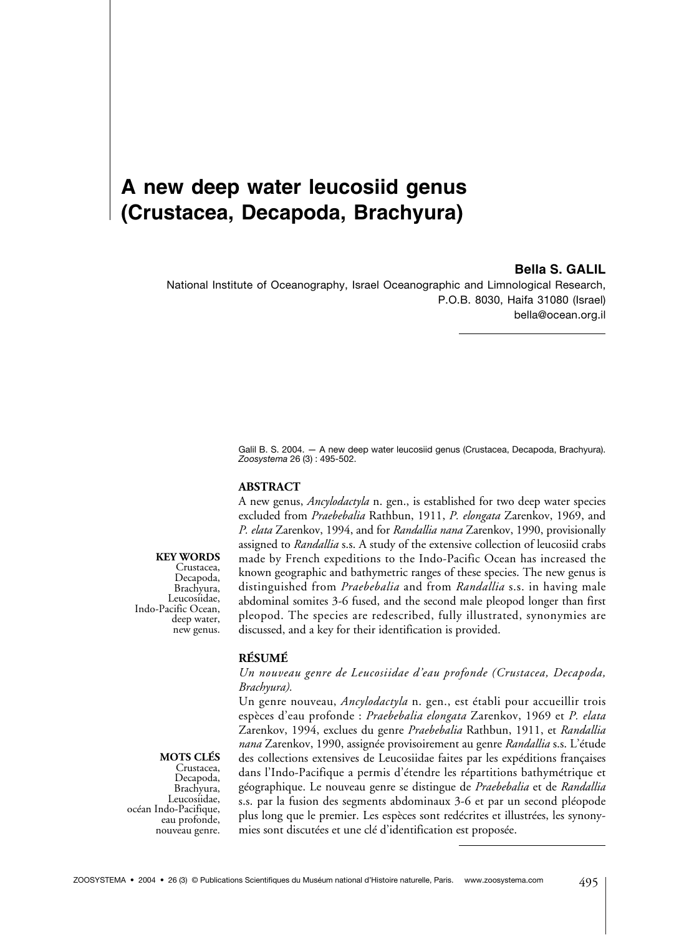# **A new deep water leucosiid genus (Crustacea, Decapoda, Brachyura)**

# **Bella S. GALIL**

National Institute of Oceanography, Israel Oceanographic and Limnological Research, P.O.B. 8030, Haifa 31080 (Israel) bella@ocean.org.il

> Galil B. S. 2004. — A new deep water leucosiid genus (Crustacea, Decapoda, Brachyura). *Zoosystema* 26 (3) : 495-502.

#### **ABSTRACT**

A new genus, *Ancylodactyla* n. gen., is established for two deep water species excluded from *Praebebalia* Rathbun, 1911, *P. elongata* Zarenkov, 1969, and *P. elata* Zarenkov, 1994, and for *Randallia nana* Zarenkov, 1990, provisionally assigned to *Randallia* s.s. A study of the extensive collection of leucosiid crabs made by French expeditions to the Indo-Pacific Ocean has increased the known geographic and bathymetric ranges of these species. The new genus is distinguished from *Praebebalia* and from *Randallia* s.s. in having male abdominal somites 3-6 fused, and the second male pleopod longer than first pleopod. The species are redescribed, fully illustrated, synonymies are discussed, and a key for their identification is provided.

#### **RÉSUMÉ**

#### *Un nouveau genre de Leucosiidae d'eau profonde (Crustacea, Decapoda, Brachyura).*

Un genre nouveau, *Ancylodactyla* n. gen., est établi pour accueillir trois espèces d'eau profonde : *Praebebalia elongata* Zarenkov, 1969 et *P. elata* Zarenkov, 1994, exclues du genre *Praebebalia* Rathbun, 1911, et *Randallia nana* Zarenkov, 1990, assignée provisoirement au genre *Randallia* s.s. L'étude des collections extensives de Leucosiidae faites par les expéditions françaises dans l'Indo-Pacifique a permis d'étendre les répartitions bathymétrique et géographique. Le nouveau genre se distingue de *Praebebalia* et de *Randallia* s.s. par la fusion des segments abdominaux 3-6 et par un second pléopode plus long que le premier. Les espèces sont redécrites et illustrées, les synonymies sont discutées et une clé d'identification est proposée.

#### **KEY WORDS**

Crustacea, Decapoda, Brachyura, Leucosiidae, Indo-Pacific Ocean, deep water, new genus.

> **MOTS CLÉS** Crustacea,

Decapoda, Brachyura, Leucosiidae, océan Indo-Pacifique, eau profonde, nouveau genre.

495 ZOOSYSTEMA • 2004 • 26 (3) © Publications Scientifiques du Muséum national d'Histoire naturelle, Paris. www.zoosystema.com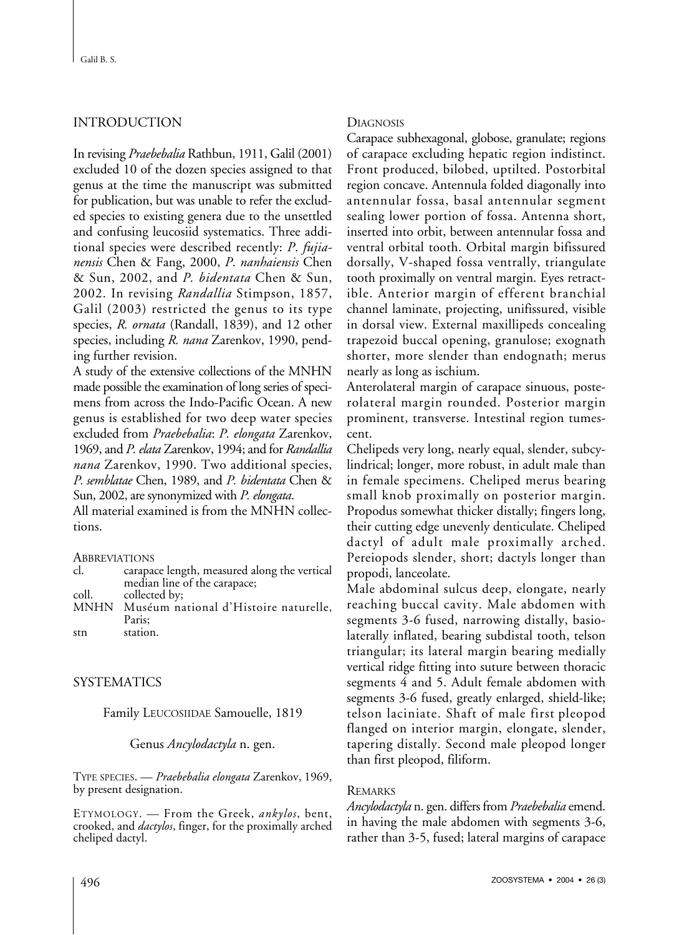# INTRODUCTION

In revising *Praebebalia* Rathbun, 1911, Galil (2001) excluded 10 of the dozen species assigned to that genus at the time the manuscript was submitted for publication, but was unable to refer the excluded species to existing genera due to the unsettled and confusing leucosiid systematics. Three additional species were described recently: *P*. *fujianensis* Chen & Fang, 2000, *P*. *nanhaiensis* Chen & Sun, 2002, and *P. bidentata* Chen & Sun, 2002. In revising *Randallia* Stimpson, 1857, Galil (2003) restricted the genus to its type species, *R. ornata* (Randall, 1839), and 12 other species, including *R. nana* Zarenkov, 1990, pending further revision.

A study of the extensive collections of the MNHN made possible the examination of long series of specimens from across the Indo-Pacific Ocean. A new genus is established for two deep water species excluded from *Praebebalia*: *P. elongata* Zarenkov, 1969, and *P. elata* Zarenkov, 1994; and for *Randallia nana* Zarenkov, 1990. Two additional species, *P. semblatae* Chen, 1989, and *P. bidentata* Chen & Sun, 2002, are synonymized with *P. elongata*.

All material examined is from the MNHN collections.

**ABBREVIATIONS** 

| cl.   | carapace length, measured along the vertical |
|-------|----------------------------------------------|
|       | median line of the carapace;                 |
| coll. | collected by;                                |

MNHN Muséum national d'Histoire naturelle, Paris; stn station.

# SYSTEMATICS

Family LEUCOSIIDAE Samouelle, 1819

#### Genus *Ancylodactyla* n. gen.

TYPE SPECIES. — *Praebebalia elongata* Zarenkov, 1969, by present designation.

ETYMOLOGY. — From the Greek, *ankylos*, bent, crooked, and *dactylos*, finger, for the proximally arched cheliped dactyl.

## **DIAGNOSIS**

Carapace subhexagonal, globose, granulate; regions of carapace excluding hepatic region indistinct. Front produced, bilobed, uptilted. Postorbital region concave. Antennula folded diagonally into antennular fossa, basal antennular segment sealing lower portion of fossa. Antenna short, inserted into orbit, between antennular fossa and ventral orbital tooth. Orbital margin bifissured dorsally, V-shaped fossa ventrally, triangulate tooth proximally on ventral margin. Eyes retractible. Anterior margin of efferent branchial channel laminate, projecting, unifissured, visible in dorsal view. External maxillipeds concealing trapezoid buccal opening, granulose; exognath shorter, more slender than endognath; merus nearly as long as ischium.

Anterolateral margin of carapace sinuous, posterolateral margin rounded. Posterior margin prominent, transverse. Intestinal region tumescent.

Chelipeds very long, nearly equal, slender, subcylindrical; longer, more robust, in adult male than in female specimens. Cheliped merus bearing small knob proximally on posterior margin. Propodus somewhat thicker distally; fingers long, their cutting edge unevenly denticulate. Cheliped dactyl of adult male proximally arched. Pereiopods slender, short; dactyls longer than propodi, lanceolate.

Male abdominal sulcus deep, elongate, nearly reaching buccal cavity. Male abdomen with segments 3-6 fused, narrowing distally, basiolaterally inflated, bearing subdistal tooth, telson triangular; its lateral margin bearing medially vertical ridge fitting into suture between thoracic segments 4 and 5. Adult female abdomen with segments 3-6 fused, greatly enlarged, shield-like; telson laciniate. Shaft of male first pleopod flanged on interior margin, elongate, slender, tapering distally. Second male pleopod longer than first pleopod, filiform.

#### REMARKS

*Ancylodactyla* n. gen. differs from *Praebebalia* emend. in having the male abdomen with segments 3-6, rather than 3-5, fused; lateral margins of carapace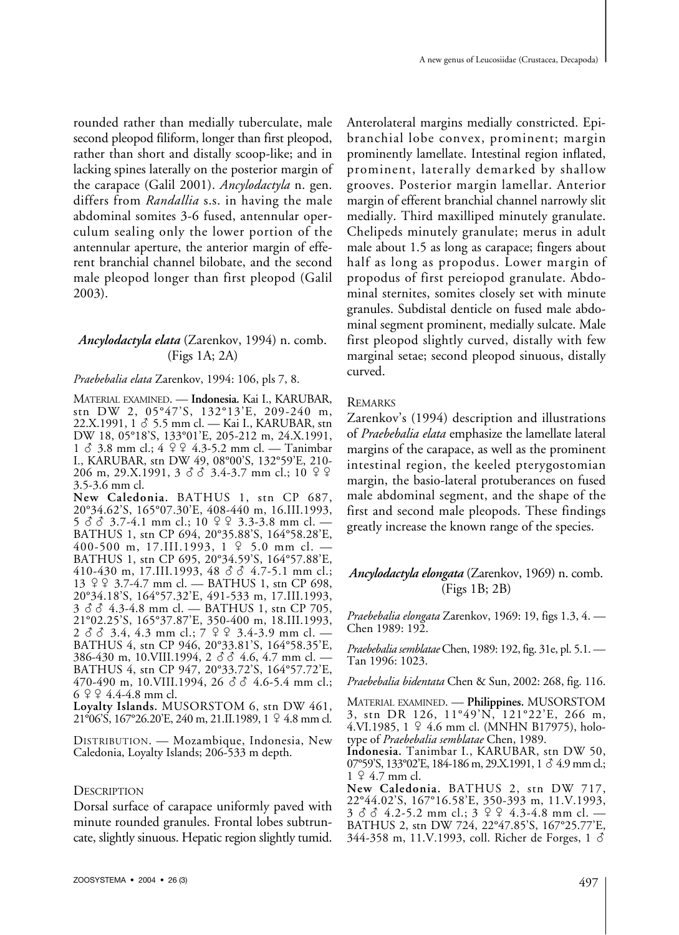rounded rather than medially tuberculate, male second pleopod filiform, longer than first pleopod, rather than short and distally scoop-like; and in lacking spines laterally on the posterior margin of the carapace (Galil 2001). *Ancylodactyla* n. gen. differs from *Randallia* s.s. in having the male abdominal somites 3-6 fused, antennular operculum sealing only the lower portion of the antennular aperture, the anterior margin of efferent branchial channel bilobate, and the second male pleopod longer than first pleopod (Galil 2003).

# *Ancylodactyla elata* (Zarenkov, 1994) n. comb. (Figs 1A; 2A)

#### *Praebebalia elata* Zarenkov, 1994: 106, pls 7, 8.

MATERIAL EXAMINED. — **Indonesia.** Kai I., KARUBAR, stn DW 2, 05°47'S, 132°13'E, 209-240 m,  $22.X.1991, 1 \& 5.5 \text{ mm}$  cl. — Kai I., KARUBAR, stn DW 18, 05°18'S, 133°01'E, 205-212 m, 24.X.1991,  $1 \delta$  3.8 mm cl.;  $4 \lvert 4 \rvert 4 \rvert 3-5.2$  mm cl. — Tanimbar I., KARUBAR, stn DW 49, 08°00'S, 132°59'E, 210-  $206 \text{ m}, 29. X. 1991, 3 \text{ d} \text{ d} \text{ } 3.4-3.7 \text{ mm cl.}; 10 \text{ } 9 \text{ } 9$ 3.5-3.6 mm cl.

**New Caledonia.** BATHUS 1, stn CP 687, 20°34.62'S, 165°07.30'E, 408-440 m, 16.III.1993,  $5 \text{ } \delta \text{ } \delta$  3.7-4.1 mm cl.; 10  $9 \text{ } 9$  3.3-3.8 mm cl. — BATHUS 1, stn CP 694, 20°35.88'S, 164°58.28'E, 400-500 m, 17.III.1993,  $1 \nsubseteq 5.0$  mm cl. -BATHUS 1, stn CP 695, 20°34.59'S, 164°57.88'E,  $410-430$  m, 17.III.1993,  $48 \text{ } \text{d} \text{ } \text{d} \text{ } \text{d}$  4.7-5.1 mm cl.; 13 3.7-4.7 mm cl. — BATHUS 1, stn CP 698, 20°34.18'S, 164°57.32'E, 491-533 m, 17.III.1993,  $3 \text{ } \delta \text{ } \delta$  4.3-4.8 mm cl. — BATHUS 1, stn CP 705, 21°02.25'S, 165°37.87'E, 350-400 m, 18.III.1993,  $2 \delta$   $3.4$ , 4.3 mm cl.;  $7 \Omega$   $2 \Omega$   $3.4$ -3.9 mm cl. — BATHUS 4, stn CP 946, 20°33.81'S, 164°58.35'E,  $386-430$  m, 10.VIII.1994, 2  $\delta$   $\delta$  4.6, 4.7 mm cl. BATHUS 4, stn CP 947, 20°33.72'S, 164°57.72'E,<br>470-490 m, 10.VIII.1994, 26 ♂ 8 4.6-5.4 mm cl.;  $6$   $9$   $9$  4.4-4.8 mm cl.

**Loyalty Islands.** MUSORSTOM 6, stn DW 461,  $21\degree$ 06'S,  $167\degree$ 26.20'E, 240 m, 21.II, 1989, 1  $\degree$  4.8 mm cl.

DISTRIBUTION. — Mozambique, Indonesia, New Caledonia, Loyalty Islands; 206-533 m depth.

#### **DESCRIPTION**

Dorsal surface of carapace uniformly paved with minute rounded granules. Frontal lobes subtruncate, slightly sinuous. Hepatic region slightly tumid. Anterolateral margins medially constricted. Epibranchial lobe convex, prominent; margin prominently lamellate. Intestinal region inflated, prominent, laterally demarked by shallow grooves. Posterior margin lamellar. Anterior margin of efferent branchial channel narrowly slit medially. Third maxilliped minutely granulate. Chelipeds minutely granulate; merus in adult male about 1.5 as long as carapace; fingers about half as long as propodus. Lower margin of propodus of first pereiopod granulate. Abdominal sternites, somites closely set with minute granules. Subdistal denticle on fused male abdominal segment prominent, medially sulcate. Male first pleopod slightly curved, distally with few marginal setae; second pleopod sinuous, distally curved.

# REMARKS

Zarenkov's (1994) description and illustrations of *Praebebalia elata* emphasize the lamellate lateral margins of the carapace, as well as the prominent intestinal region, the keeled pterygostomian margin, the basio-lateral protuberances on fused male abdominal segment, and the shape of the first and second male pleopods. These findings greatly increase the known range of the species.

# *Ancylodactyla elongata* (Zarenkov, 1969) n. comb. (Figs 1B; 2B)

*Praebebalia elongata* Zarenkov, 1969: 19, figs 1.3, 4. — Chen 1989: 192.

*Praebebalia semblatae*Chen, 1989: 192, fig. 31e, pl. 5.1. — Tan 1996: 1023.

*Praebebalia bidentata* Chen & Sun, 2002: 268, fig. 116.

MATERIAL EXAMINED. — **Philippines.** MUSORSTOM 3, stn DR 126, 11°49'N, 121°22'E, 266 m, 4.VI.1985,  $1 \nsubseteq 4.6$  mm cl. (MNHN B17975), holotype of *Praebebalia semblatae* Chen, 1989.

**Indonesia.** Tanimbar I., KARUBAR, stn DW 50, 07°59'S, 133°02'E, 184-186 m, 29.X.1991, 1  $\delta$  4.9 mm cl.;  $1 \,$   $9 \,$  4.7 mm cl.

**New Caledonia.** BATHUS 2, stn DW 717, 22°44.02'S, 167°16.58'E, 350-393 m, 11.V.1993,  $3 \delta$   $3 \delta$  4.2-5.2 mm cl.;  $3 \delta$   $9 \delta$  4.3-4.8 mm cl. — BATHUS 2, stn DW 724, 22°47.85'S, 167°25.77'E,  $344-358$  m,  $11.V.1993$ , coll. Richer de Forges,  $1 \delta$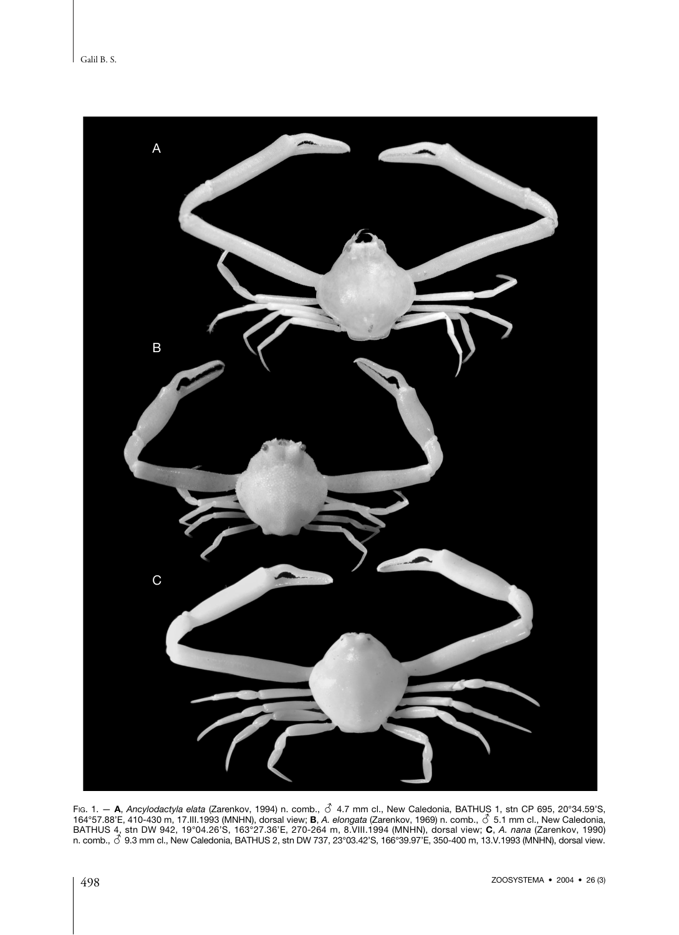

Fig. 1. — **A**, *Ancylodactyla elata (*Zarenkov, 1994) n. comb., ♂ 4.7 mm cl., New Caledonia, BATHUS 1, stn CP 695, 20°34.59'S,<br>164°57.88'E, 410-430 m, 17.III.1993 (MNHN), dorsal view; **B,** *A. elongata* (Zarenkov, 1969) n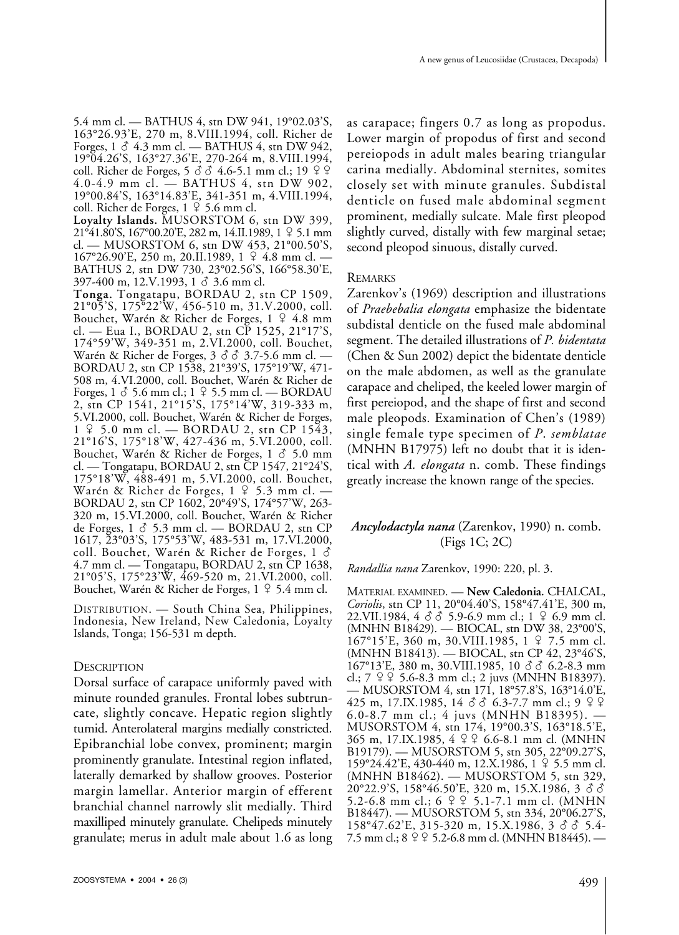5.4 mm cl. — BATHUS 4, stn DW 941, 19°02.03'S, 163°26.93'E, 270 m, 8.VIII.1994, coll. Richer de Forges,  $1 \delta$  4.3 mm cl. — BATHUS 4, stn DW 942, 19°04.26'S, 163°27.36'E, 270-264 m, 8.VIII.1994, coll. Richer de Forges,  $5 \text{ } \textcircled{3} \text{ } 4.6-5.1 \text{ mm cl.}; 19 \text{ } \textcircled{2} \text{ } \textcircled{4}$ 4.0-4.9 mm cl. — BATHUS 4, stn DW 902, 19°00.84'S, 163°14.83'E, 341-351 m, 4.VIII.1994, coll. Richer de Forges,  $1 \n9 \n5.6$  mm cl.

**Loyalty Islands.** MUSORSTOM 6, stn DW 399, 21°41.80'S, 167°00.20'E, 282 m, 14.II.1989, 1 5.1 mm cl. — MUSORSTOM 6, stn DW 453, 21°00.50'S, 167°26.90'E, 250 m, 20.II.1989, 1 º 4.8 mm cl. BATHUS 2, stn DW 730, 23°02.56'S, 166°58.30'E,  $397-400 \text{ m}, 12. V. 1993, 1 \text{ }\delta \text{ } 3.6 \text{ mm}$  cl.

**Tonga.** Tongatapu, BORDAU 2, stn CP 1509, 21°05'S, 175°22'W, 456-510 m, 31.V.2000, coll. Bouchet, Warén & Richer de Forges, 1 º 4.8 mm cl. — Eua I., BORDAU 2, stn CP 1525, 21°17'S, 174°59'W, 349-351 m, 2.VI.2000, coll. Bouchet, Warén & Richer de Forges,  $3 \circ \hat{S}$   $\hat{S}$  3.7-5.6 mm cl. — BORDAU 2, stn CP 1538, 21°39'S, 175°19'W, 471- 508 m, 4.VI.2000, coll. Bouchet, Warén & Richer de Forges,  $1 \text{ } 3$  5.6 mm cl.;  $1 \text{ } 2$  5.5 mm cl. — BORDAU 2, stn CP 1541, 21°15'S, 175°14'W, 319-333 m, 5.VI.2000, coll. Bouchet, Warén & Richer de Forges,  $1 \nvert 9$  5.0 mm cl. — BORDAU 2, stn CP 1543, 21°16'S, 175°18'W, 427-436 m, 5.VI.2000, coll. Bouchet, Warén & Richer de Forges,  $1 \delta$  5.0 mm cl. — Tongatapu, BORDAU 2, stn CP 1547, 21°24'S, 175°18'W, 488-491 m, 5.VI.2000, coll. Bouchet, Warén & Richer de Forges,  $1 \nsubseteq 5.3$  mm cl. — BORDAU 2, stn CP 1602, 20°49'S, 174°57'W, 263- 320 m, 15.VI.2000, coll. Bouchet, Warén & Richer de Forges,  $1 \delta$  5.3 mm cl. — BORDAU 2, stn CP 1617, 23°03'S, 175°53'W, 483-531 m, 17.VI.2000, coll. Bouchet, Warén & Richer de Forges, 1 - 4.7 mm cl. — Tongatapu, BORDAU 2, stn CP 1638, 21°05'S, 175°23'W, 469-520 m, 21.VI.2000, coll. Bouchet, Warén & Richer de Forges,  $1 \nsubseteq 5.4$  mm cl.

DISTRIBUTION. — South China Sea, Philippines, Indonesia, New Ireland, New Caledonia, Loyalty Islands, Tonga; 156-531 m depth.

# **DESCRIPTION**

Dorsal surface of carapace uniformly paved with minute rounded granules. Frontal lobes subtruncate, slightly concave. Hepatic region slightly tumid. Anterolateral margins medially constricted. Epibranchial lobe convex, prominent; margin prominently granulate. Intestinal region inflated, laterally demarked by shallow grooves. Posterior margin lamellar. Anterior margin of efferent branchial channel narrowly slit medially. Third maxilliped minutely granulate. Chelipeds minutely granulate; merus in adult male about 1.6 as long

as carapace; fingers 0.7 as long as propodus. Lower margin of propodus of first and second pereiopods in adult males bearing triangular carina medially. Abdominal sternites, somites closely set with minute granules. Subdistal denticle on fused male abdominal segment prominent, medially sulcate. Male first pleopod slightly curved, distally with few marginal setae; second pleopod sinuous, distally curved.

## **REMARKS**

Zarenkov's (1969) description and illustrations of *Praebebalia elongata* emphasize the bidentate subdistal denticle on the fused male abdominal segment. The detailed illustrations of *P. bidentata* (Chen & Sun 2002) depict the bidentate denticle on the male abdomen, as well as the granulate carapace and cheliped, the keeled lower margin of first pereiopod, and the shape of first and second male pleopods. Examination of Chen's (1989) single female type specimen of *P*. *semblatae* (MNHN B17975) left no doubt that it is identical with *A. elongata* n. comb. These findings greatly increase the known range of the species.

# *Ancylodactyla nana* (Zarenkov, 1990) n. comb. (Figs 1C; 2C)

#### *Randallia nana* Zarenkov, 1990: 220, pl. 3.

MATERIAL EXAMINED. — **New Caledonia.** CHALCAL, *Coriolis*, stn CP 11, 20°04.40'S, 158°47.41'E, 300 m,  $22. \text{VII}.1984, 4 \, \delta \, \delta$  5.9-6.9 mm cl.; 1  $\,$  4.6.9 mm cl. (MNHN B18429). — BIOCAL, stn DW 38, 23°00'S, 167°15'E, 360 m, 30.VIII.1985, 1  $\sqrt{2}$  7.5 mm cl. (MNHN B18413). — BIOCAL, stn CP 42, 23°46'S,  $167^{\circ}13'E$ , 380 m, 30.VIII.1985, 10  $\delta$   $\delta$  6.2-8.3 mm cl.;  $7 \,$   $9 \,$   $9 \,$  5.6-8.3 mm cl.; 2 juvs (MNHN B18397). — MUSORSTOM 4, stn 171, 18°57.8'S, 163°14.0'E, 425 m, 17.IX.1985, 14 -- 6.3-7.7 mm cl.; 9 6.0-8.7 mm cl.; 4 juvs (MNHN B18395). — MUSORSTOM 4, stn 174, 19°00.3'S, 163°18.5'E, 365 m, 17.IX.1985, 4 º º 6.6-8.1 mm cl. (MNHN B19179). — MUSORSTOM 5, stn 305, 22°09.27'S, 159°24.42'E, 430-440 m, 12.X.1986, 1 5.5 mm cl. (MNHN B18462). — MUSORSTOM 5, stn 329,  $20^{\circ}22.9^{\circ}$ S, 158°46.50'E, 320 m, 15.X.1986, 3  $\delta$   $\delta$ 5.2-6.8 mm cl.; 6 º º 5.1-7.1 mm cl. (MNHN B18447). — MUSORSTOM 5, stn 334, 20°06.27'S,<br>158°47.62'E, 315-320 m, 15.X.1986, 3 ♂ ♂ 5.4-7.5 mm cl.;  $8 \frac{9}{5}$ .2-6.8 mm cl. (MNHN B18445). —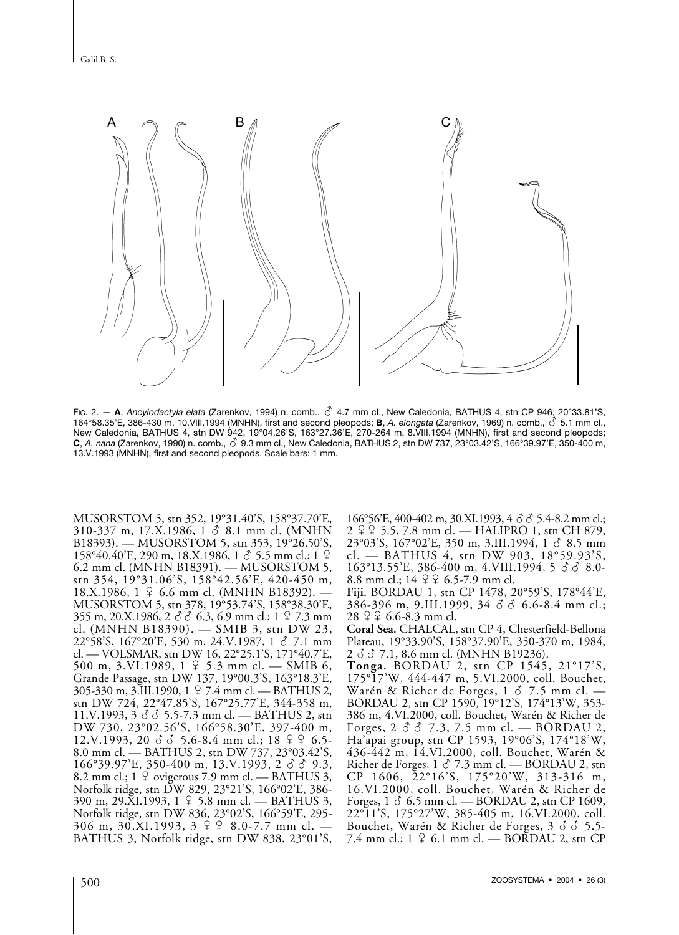

Fig. 2. - A, *Ancylodactyla elata* (Zarenkov, 1994) n. comb.,  $\vec{C}$  4.7 mm cl., New Caledonia, BATHUS 4, stn CP 946, 20°33.81'S, 164°58.35'E, 386-430 m, 10.VIII.1994 (MNHN), first and second pleopods; **B**, *A. elongata* (Zarenkov, 1969) n. comb., - 5.1 mm cl., New Caledonia, BATHUS 4, stn DW 942, 19°04.26'S, 163°27.36'E, 270-264 m, 8.VIII.1994 (MNHN), first and second pleopods; New Galedonia, DATHOO 4, stri DW 942, 19 04.20 0, 100 27.30 L, 270-204 http://www.itegra.hdisecond.pleopods,<br>C, *A. nana* (Zarenkov, 1990) n. comb., ♂ 9.3 mm cl., New Caledonia, BATHUS 2, stn DW 737, 23°03.42'S, 166°39.97 13.V.1993 (MNHN), first and second pleopods. Scale bars: 1 mm.

MUSORSTOM 5, stn 352, 19°31.40'S, 158°37.70'E,  $310-337$  m,  $17.X.1986$ ,  $1 \circ 8.1$  mm cl. (MNHN B18393). — MUSORSTOM 5, stn 353, 19°26.50'S,  $158^{\circ}40.40^{\circ}$ E, 290 m, 18.X.1986, 1  $\sigma$  5.5 mm cl.; 1  $\sigma$ 6.2 mm cl. (MNHN B18391). — MUSORSTOM 5, stn 354, 19°31.06'S, 158°42.56'E, 420-450 m,  $18.X.1986$ ,  $1 \n9$  6.6 mm cl. (MNHN B18392). MUSORSTOM 5, stn 378, 19°53.74'S, 158°38.30'E,  $355 \text{ m}, 20 \text{ X}.1986, 2 \cancel{3} \cancel{3} \cancel{6} \cdot 6.3, 6.9 \text{ mm cl.}; 1 \cancel{2} \cdot 7.3 \text{ mm}$ cl. (MNHN B18390). — SMIB 3, stn DW 23,  $22^{\circ}58^{\circ}$ S, 167°20'E, 530 m, 24.V.1987, 1  $\sigma$  7.1 mm cl. — VOLSMAR, stn DW 16, 22°25.1'S, 171°40.7'E, 500 m, 3.VI.1989,  $1 \n9$  5.3 mm cl. — SMIB 6, Grande Passage, stn DW 137, 19°00.3'S, 163°18.3'E, 305-330 m, 3.III.1990, 1 7.4 mm cl. — BATHUS 2, stn DW 724, 22°47.85'S, 167°25.77'E, 344-358 m, 11.V.1993,  $3 \overrightarrow{3}$   $\overrightarrow{6}$  5.5-7.3 mm cl. — BATHUS 2, stn DW 730, 23°02.56'S, 166°58.30'E, 397-400 m,  $12. V. 1993, 20 \, \delta \, \delta$  5.6-8.4 mm cl.; 18  $9 \, 9 \, 6.5$ -8.0 mm cl. — BATHUS 2, stn DW 737, 23°03.42'S,  $166^{\circ}39.97^{\prime}$ E, 350-400 m, 13.V.1993, 2  $\delta$   $\delta$  9.3, 8.2 mm cl.;  $1 \nsubseteq$  ovigerous 7.9 mm cl. — BATHUS 3, Norfolk ridge, stn DW 829, 23°21'S, 166°02'E, 386-  $390 \text{ m}, 29 \text{.} \times 1.1993, 1 \text{ }$  9 5.8 mm cl. — BATHUS 3, Norfolk ridge, stn DW 836, 23°02'S, 166°59'E, 295- 306 m, 30.XI.1993,  $3 \oplus 9$  8.0-7.7 mm cl. – BATHUS 3, Norfolk ridge, stn DW 838, 23°01'S,

166°56'E, 400-402 m, 30.XI.1993, 4 & 3 5.4-8.2 mm cl.; 2 5.5, 7.8 mm cl. — HALIPRO 1, stn CH 879,  $23^{\circ}03'$ S, 167°02'E, 350 m, 3.III.1994, 1  $\delta$  8.5 mm cl. — BATHUS 4, stn DW 903, 18°59.93'S,  $163^{\circ}13.55'$ E, 386-400 m, 4.VIII.1994, 5  $\sigma$   $\sigma$  8.0-8.8 mm cl.;  $14 \n9 \n9 \n6.5-7.9$  mm cl.

**Fiji.** BORDAU 1, stn CP 1478, 20°59'S, 178°44'E,  $386-396$  m, 9.III.1999,  $34 \text{ } \textcircled{3} \text{ } 6.6-8.4$  mm cl.;  $28 \nvert\; 26.6 - 8.3 \text{ mm}$  cl.

**Coral Sea.** CHALCAL, stn CP 4, Chesterfield-Bellona Plateau, 19°33.90'S, 158°37.90'E, 350-370 m, 1984, 2 3 3 7.1, 8.6 mm cl. (MNHN B19236).

**Tonga.** BORDAU 2, stn CP 1545, 21°17'S, 175°17'W, 444-447 m, 5.VI.2000, coll. Bouchet, Warén & Richer de Forges,  $1 \delta$  7.5 mm cl. — BORDAU 2, stn CP 1590, 19°12'S, 174°13'W, 353- 386 m, 4.VI.2000, coll. Bouchet, Warén & Richer de Forges,  $2 \delta$   $\delta$  7.3, 7.5 mm cl. — BORDAU 2, Ha'apai group, stn CP 1593, 19°06'S, 174°18'W, 436-442 m, 14.VI.2000, coll. Bouchet, Warén & Richer de Forges,  $1 \delta$  7.3 mm cl. — BORDAU 2, stn CP 1606, 22°16'S, 175°20'W, 313-316 m, 16.VI.2000, coll. Bouchet, Warén & Richer de Forges,  $1 \delta$  6.5 mm cl. — BORDAU 2, stn CP 1609, 22°11'S, 175°27'W, 385-405 m, 16.VI.2000, coll. Bouchet, Warén & Richer de Forges,  $3\delta\delta$  5.5-7.4 mm cl.;  $1 \n9$  6.1 mm cl. — BORDAU 2, stn CP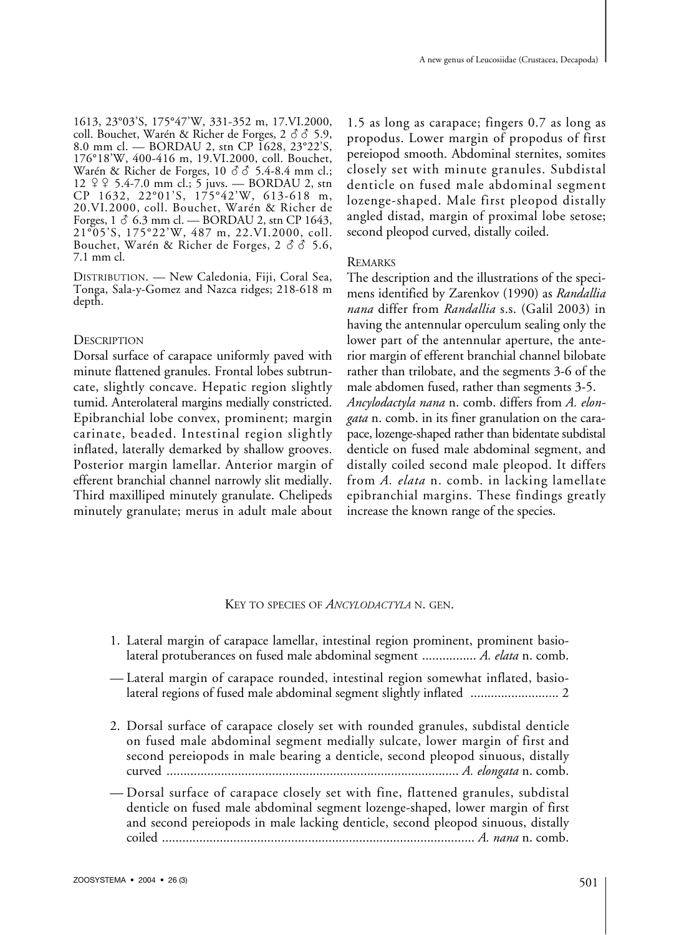1613, 23°03'S, 175°47'W, 331-352 m, 17.VI.2000, coll. Bouchet, Warén & Richer de Forges,  $2 \hat{d} \hat{d} 5.9$ , 8.0 mm cl. — BORDAU 2, stn CP 1628, 23°22'S, 176°18'W, 400-416 m, 19.VI.2000, coll. Bouchet, Warén & Richer de Forges,  $10 \div 5.4$ -8.4 mm cl.;  $12 \frac{9}{5}$ ,  $5.4-7.0$  mm cl.; 5 juvs. — BORDAU 2, stn CP 1632, 22°01'S, 175°42'W, 613-618 m, 20.VI.2000, coll. Bouchet, Warén & Richer de Forges,  $1 \delta$  6.3 mm cl. — BORDAU 2, stn CP 1643, 21°05'S, 175°22'W, 487 m, 22.VI.2000, coll. Bouchet, Warén & Richer de Forges,  $2 \delta$   $\delta$  5.6, 7.1 mm cl.

DISTRIBUTION. — New Caledonia, Fiji, Coral Sea, Tonga, Sala-y-Gomez and Nazca ridges; 218-618 m depth.

## **DESCRIPTION**

Dorsal surface of carapace uniformly paved with minute flattened granules. Frontal lobes subtruncate, slightly concave. Hepatic region slightly tumid. Anterolateral margins medially constricted. Epibranchial lobe convex, prominent; margin carinate, beaded. Intestinal region slightly inflated, laterally demarked by shallow grooves. Posterior margin lamellar. Anterior margin of efferent branchial channel narrowly slit medially. Third maxilliped minutely granulate. Chelipeds minutely granulate; merus in adult male about

1.5 as long as carapace; fingers 0.7 as long as propodus. Lower margin of propodus of first pereiopod smooth. Abdominal sternites, somites closely set with minute granules. Subdistal denticle on fused male abdominal segment lozenge-shaped. Male first pleopod distally angled distad, margin of proximal lobe setose; second pleopod curved, distally coiled.

## REMARKS

The description and the illustrations of the specimens identified by Zarenkov (1990) as *Randallia nana* differ from *Randallia* s.s. (Galil 2003) in having the antennular operculum sealing only the lower part of the antennular aperture, the anterior margin of efferent branchial channel bilobate rather than trilobate, and the segments 3-6 of the male abdomen fused, rather than segments 3-5. *Ancylodactyla nana* n. comb. differs from *A. elongata* n. comb. in its finer granulation on the carapace, lozenge-shaped rather than bidentate subdistal denticle on fused male abdominal segment, and distally coiled second male pleopod. It differs from *A. elata* n. comb. in lacking lamellate epibranchial margins. These findings greatly increase the known range of the species.

#### KEY TO SPECIES OF *ANCYLODACTYLA* N. GEN.

- 1. Lateral margin of carapace lamellar, intestinal region prominent, prominent basiolateral protuberances on fused male abdominal segment ................ *A. elata* n. comb.
- Lateral margin of carapace rounded, intestinal region somewhat inflated, basiolateral regions of fused male abdominal segment slightly inflated .......................... 2
- 2. Dorsal surface of carapace closely set with rounded granules, subdistal denticle on fused male abdominal segment medially sulcate, lower margin of first and second pereiopods in male bearing a denticle, second pleopod sinuous, distally curved ...................................................................................... *A. elongata* n. comb.
- Dorsal surface of carapace closely set with fine, flattened granules, subdistal denticle on fused male abdominal segment lozenge-shaped, lower margin of first and second pereiopods in male lacking denticle, second pleopod sinuous, distally coiled ............................................................................................ *A. nana* n. comb.